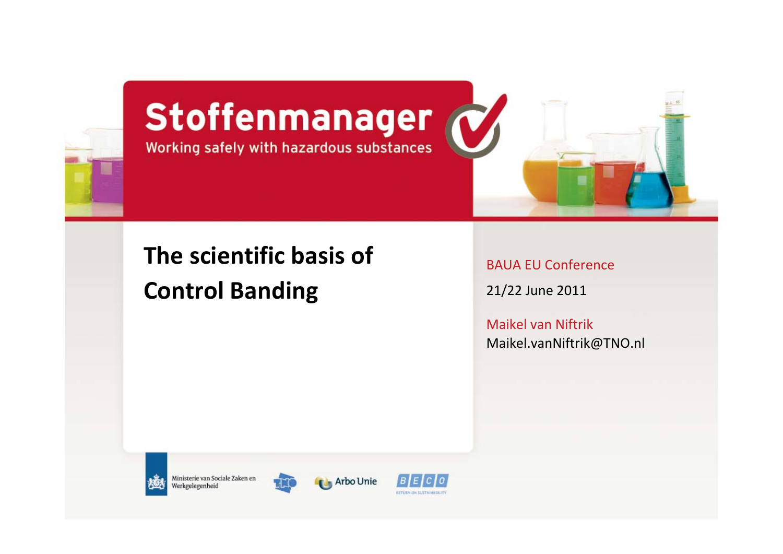

# Stoffenmanager



# **The scientific basis of Control Banding**

BAUA EU Conference

21/22 June 2011

Maikel van Niftrik [Maikel.vanNiftrik@TNO.nl](mailto:Maikel.vanNiftrik@TNO.nl)



Ministerie van Sociale Zaken en Werkgelegenheid



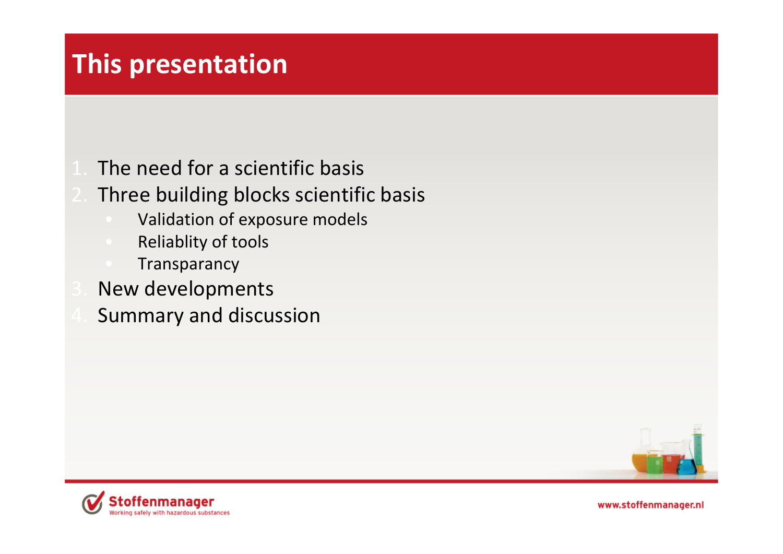# **This presentation**

- The need for <sup>a</sup> scientific basis
- Three building blocks scientific basis
	- Validation of exposure models
	- Reliablity of tools
	- **Transparancy**
- New developments
- Summary and discussion



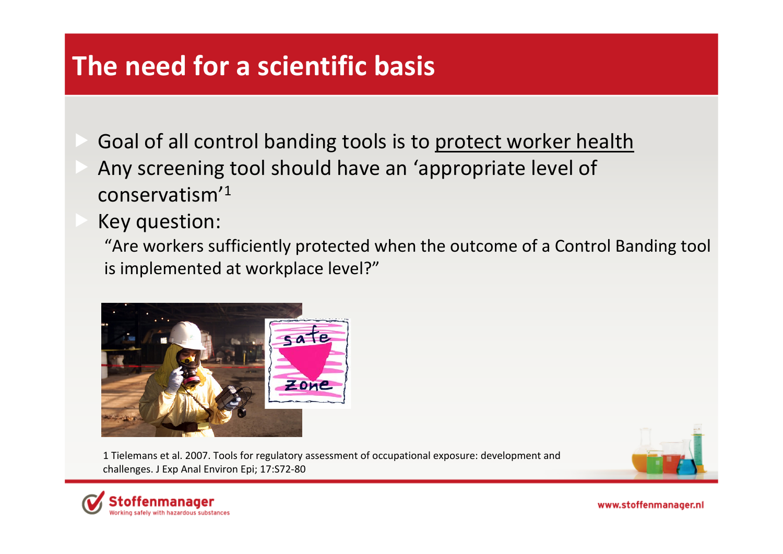# **The need for a scientific basis**

- Goal of all control banding tools is to protect worker health
- Any screening tool should have an 'appropriate level of conservatism'1
- Key question:

"Are workers sufficiently protected when the outcome of <sup>a</sup> Control Banding tool is implemented at workplace level?"



1 Tielemans et al. 2007. Tools for regulatory assessment of occupational exposure: development and challenges. J Exp Anal Environ Epi; 17:S72‐80





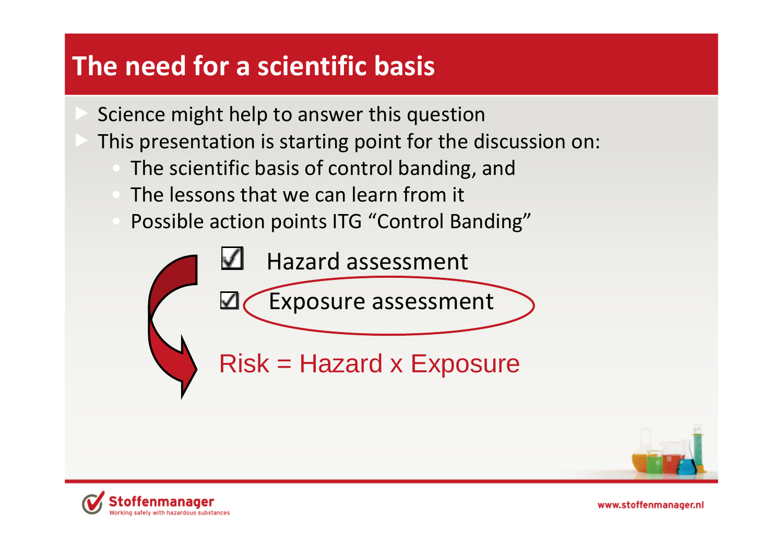# **The need for a scientific basis**

- Science might help to answer this question
- This presentation is starting point for the discussion on:
	- The scientific basis of control banding, and
	- The lessons that we can learn from it
	- Possible action points ITG "Control Banding"

Hazard assessment M Exposure assessment ⊻

Risk = Hazard x Exposure



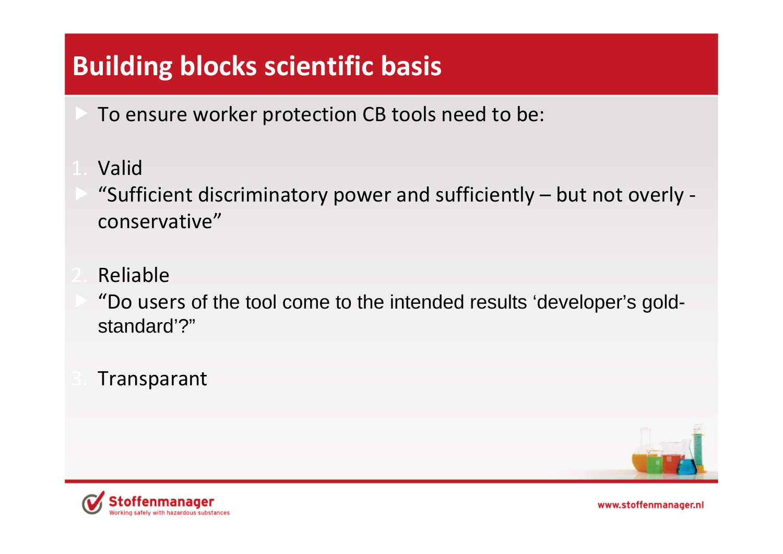# **Building blocks scientific basis**

- To ensure worker protection CB tools need to be:
- Valid
- "Sufficient discriminatory power and sufficiently but not overly ‐ conservative"
- Reliable
- "Do users of the tool come to the intended results 'developer's goldstandard'?"
- Transparant



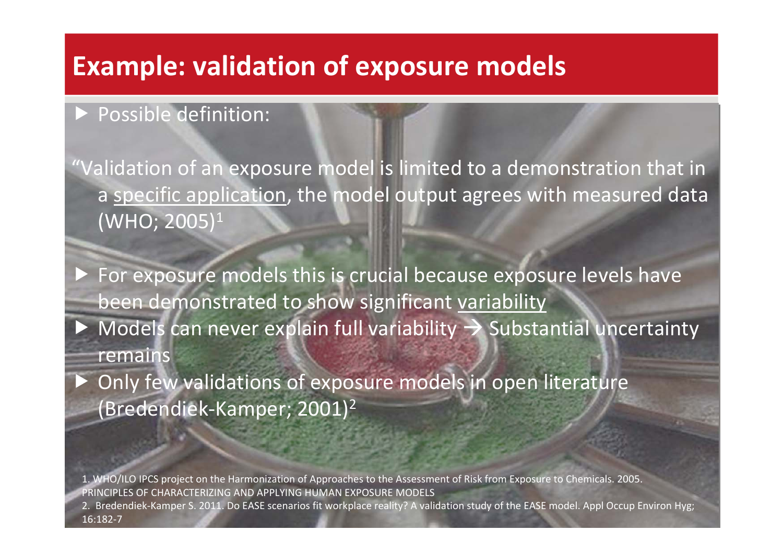#### **Example: validation of exposure models**

#### fPossible definition:

f

"Validation of an exposure model is limited to <sup>a</sup> demonstration that in a specific application, the model output agrees with measured data (WHO; 2005)1

 $\blacktriangleright$  For exposure models this is crucial because exposure levels have been demonstrated to show significant <u>variability</u>  $\triangleright$  Models can never explain full variability  $\rightarrow$  Substantial uncertainty remains

 Only few validations of exposure models in open literature (Bredendiek‐Kamper; 2001)2

1. WHO/ILO IPCS project on the Harmonization of Approaches to the Assessment of Risk from Exposure to Chemicals. 2005. PRINCIPLES OF CHARACTERIZING AND APPLYING HUMAN EXPOSURE MODELS

2. Bredendiek‐Kamper S. 2011. Do EASE scenarios fit workplace reality? A validation study of the EASE model. Appl Occup Environ Hyg; 16:182‐7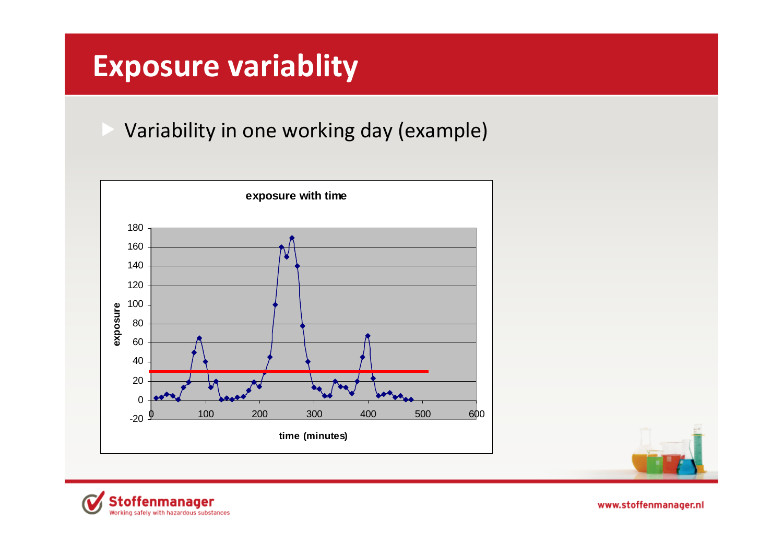# **Exposure variablity**

Variability in one working day (example)





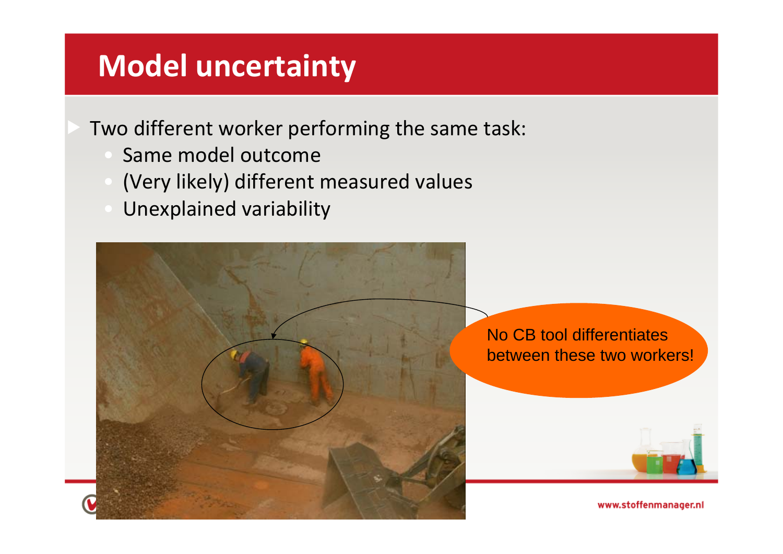# **Model uncertainty**

Two different worker performing the same task:

- Same model outcome
- (Very likely) different measured values
- Unexplained variability

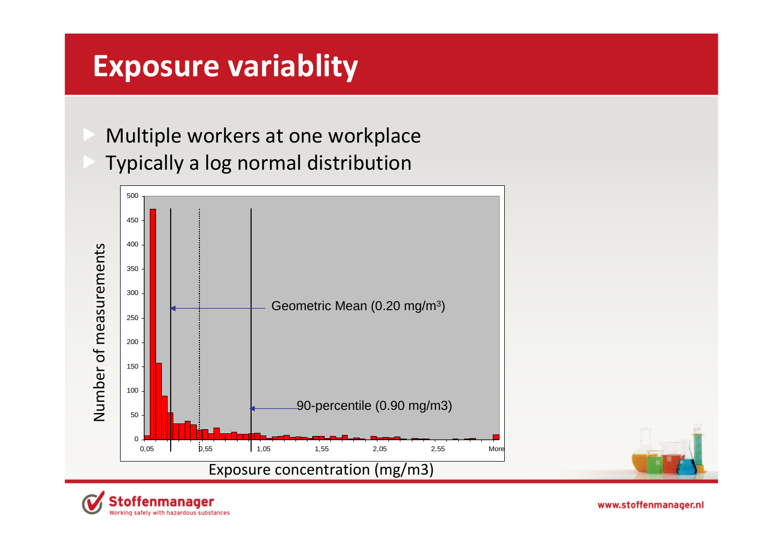# **Exposure variablity**

 Multiple workers at one workplace Typically <sup>a</sup> log normal distribution



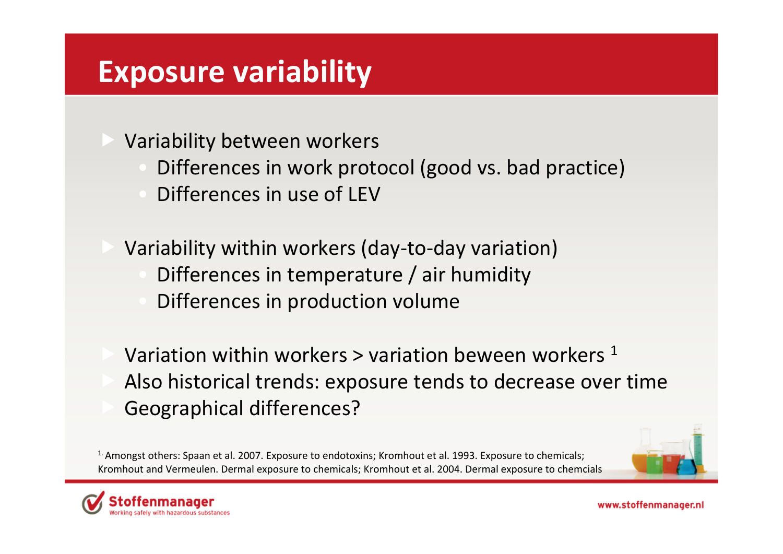# **Exposure variability**

Variability between workers

- Differences in work protocol (good vs. bad practice)
- Differences in use of LEV
- Variability within workers (day-to-day variation)
	- Differences in temperature / air humidity
	- Differences in production volume
- **Variation within workers > variation beween workers**  $1$  Also historical trends: exposure tends to decrease over time Geographical differences?

<sup>1.</sup> Amongst others: Spaan et al. 2007. Exposure to endotoxins; Kromhout et al. 1993. Exposure to chemicals; Kromhout and Vermeulen. Dermal exposure to chemicals; Kromhout et al. 2004. Dermal exposure to chemcials

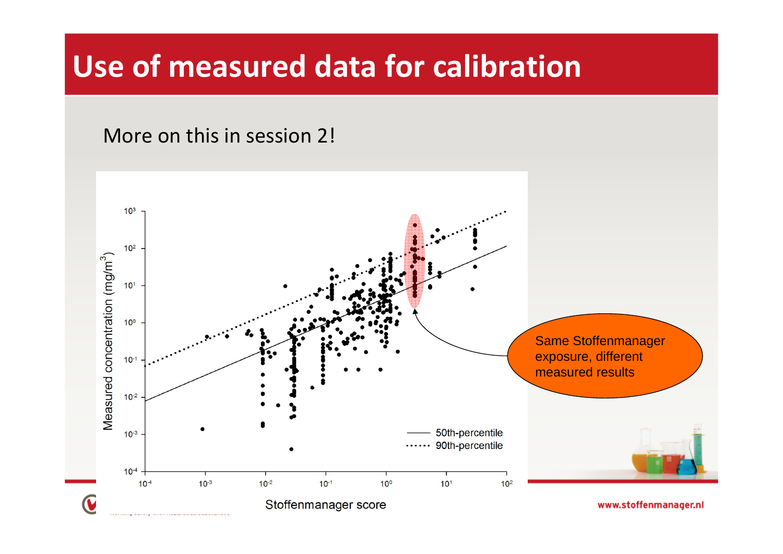# **Use of measured data for calibration**

More on this in session 2!

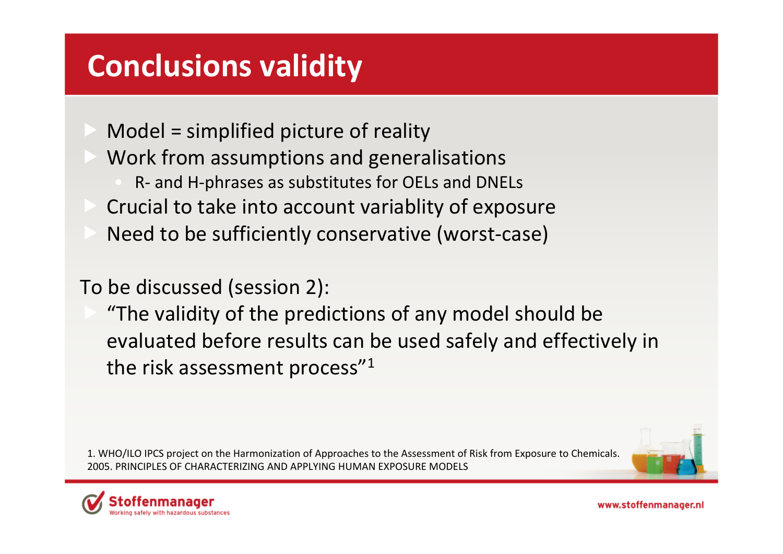# **Conclusions validity**

- Model = simplified picture of reality
	- Work from assumptions and generalisations
		- R ‐ and H ‐phrases as substitutes for OELs and DNELs
	- Crucial to take into account variablity of exposure
- **Need to be sufficiently conservative (worst-case)**

#### To be discussed (session 2):

 "The validity of the predictions of any model should be evaluated before results can be used safely and effectively in the risk assessment process" $^{\prime\prime}{}^{1}$ 

1. WHO/ILO IPCS project on the Harmonization of Approaches to the Assessment of Risk from Exposure to Chemicals. 2005. PRINCIPLES OF CHARACTERIZING AND APPLYING HUMAN EXPOSURE MODELS



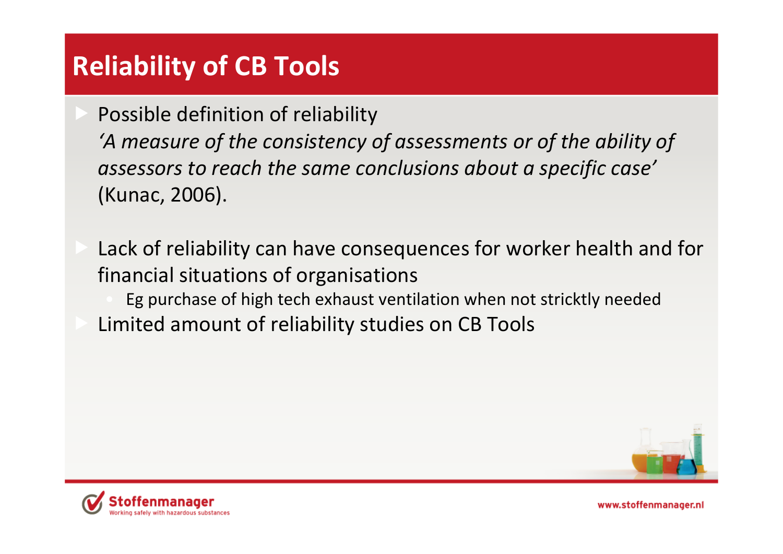# **Reliability of CB Tools**

 Possible definition of reliability *'A measure of the consistency of assessments or of the ability of assessors to reach the same conclusions about <sup>a</sup> specific case'* (Kunac, 2006).

- Lack of reliability can have consequences for worker health and for financial situations of organisations
	- Eg purchase of high tech exhaust ventilation when not stricktly needed
- Limited amount of reliability studies on CB Tools



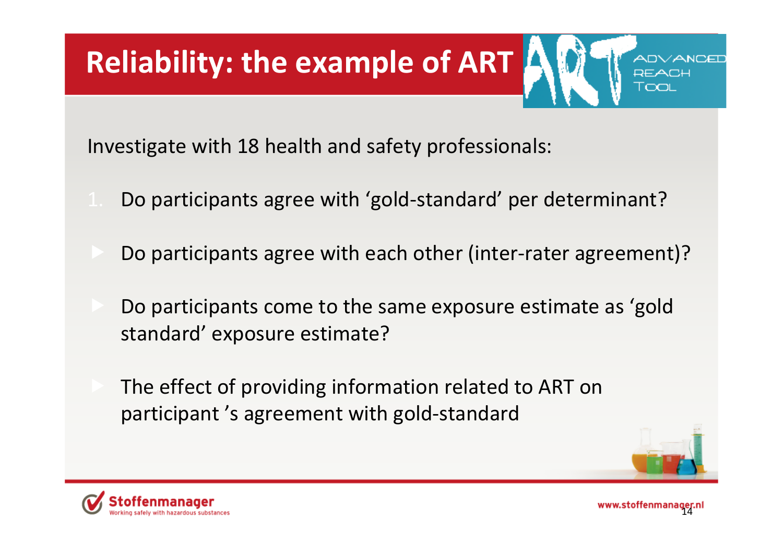# **Reliability: the example of ART**

Investigate with 18 health and safety professionals:

- Do participants agree with 'gold‐standard' per determinant?
- Do participants agree with each other (inter‐rater agreement)?
	- Do participants come to the same exposure estimate as 'gold standard' exposure estimate?
- The effect of providing information related to ART on participant 's agreement with gold‐standard



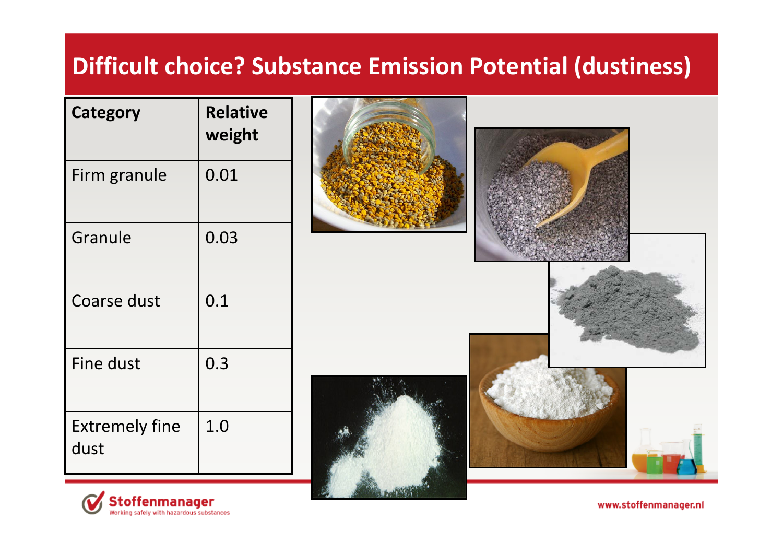#### **Difficult choice? Substance Emission Potential (dustiness)**

| Category                      | <b>Relative</b><br>weight |
|-------------------------------|---------------------------|
| Firm granule                  | 0.01                      |
| Granule                       | 0.03                      |
| <b>Coarse dust</b>            | 0.1                       |
| Fine dust                     | 0.3                       |
| <b>Extremely fine</b><br>dust | 1.0                       |











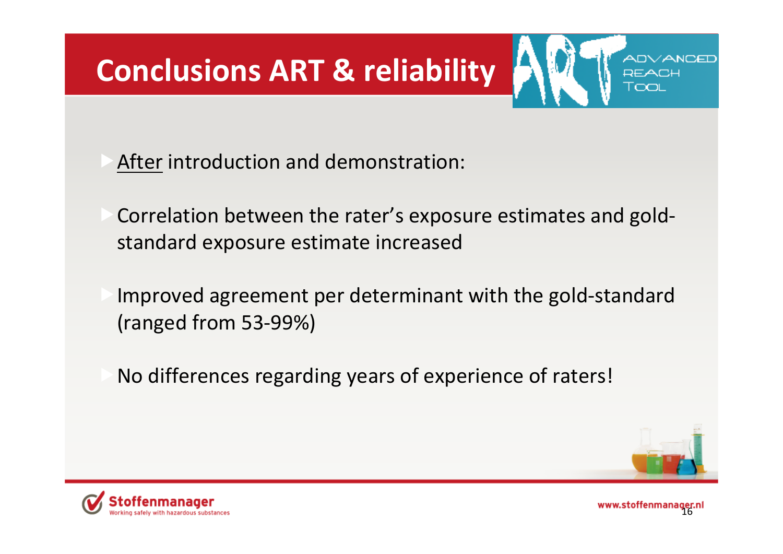# **Conclusions ART & reliability**

 $\triangleright$  After introduction and demonstration:

 $\triangleright$  Correlation between the rater's exposure estimates and goldstandard exposure estimate increased

fImproved agreement per determinant with the gold‐standard (ranged from 53‐99%)

 $\blacksquare$  No differences regarding years of experience of raters!



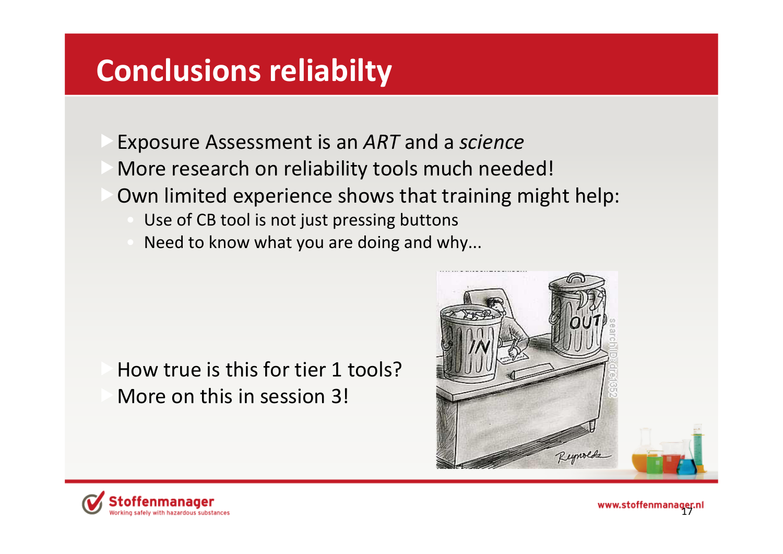# **Conclusions reliabilty**

fExposure Assessment is an *ART* and <sup>a</sup> *science*  $\triangleright$  More research on reliability tools much needed!  $\triangleright$  Own limited experience shows that training might help: Use of CB tool is not just pressing buttons

Need to know what you are doing and why...

 $\blacktriangleright$  How true is this for tier 1 tools?  $\blacksquare$  More on this in session 3!





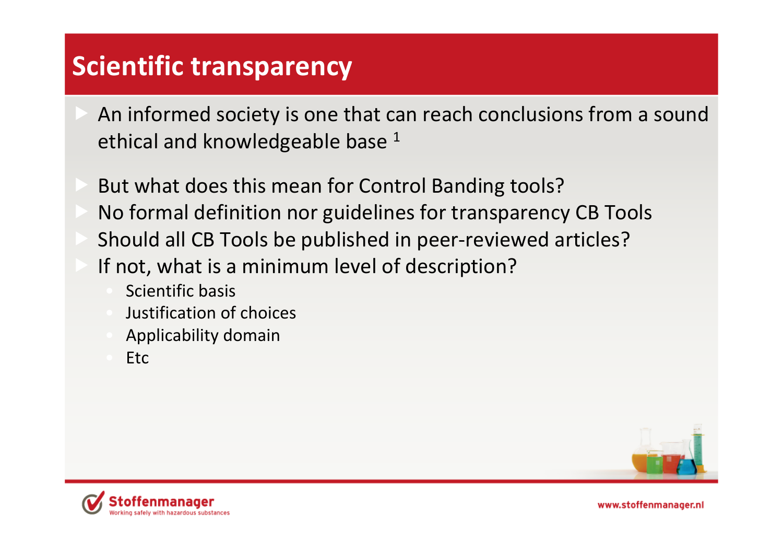# **Scientific transparency**

- An informed society is one that can reach conclusions from <sup>a</sup> sound ethical and knowledgeable base  $^{\rm 1}$
- But what does this mean for Control Banding tools?
- No formal definition nor guidelines for transparency CB Tools
- Should all CB Tools be published in peer‐reviewed articles?
- If not, what is <sup>a</sup> minimum level of description?
	- Scientific basis
	- Justification of choices
	- Applicability domain
	- **Etc**



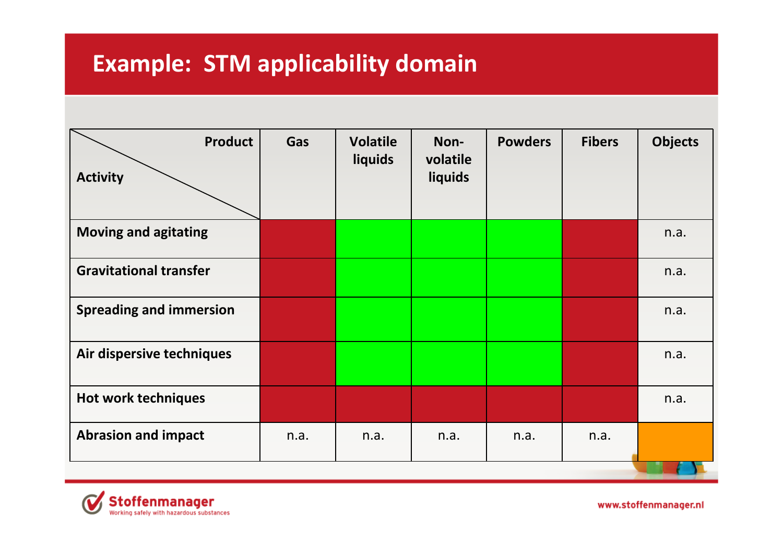#### **Example: STM applicability domain**

| <b>Product</b><br><b>Activity</b> | Gas  | <b>Volatile</b><br>liquids | Non-<br>volatile<br>liquids | <b>Powders</b> | <b>Fibers</b> | <b>Objects</b> |  |
|-----------------------------------|------|----------------------------|-----------------------------|----------------|---------------|----------------|--|
| <b>Moving and agitating</b>       |      |                            |                             |                |               | n.a.           |  |
| <b>Gravitational transfer</b>     |      |                            |                             |                |               | n.a.           |  |
| <b>Spreading and immersion</b>    |      |                            |                             |                |               | n.a.           |  |
| Air dispersive techniques         |      |                            |                             |                |               | n.a.           |  |
| <b>Hot work techniques</b>        |      |                            |                             |                |               | n.a.           |  |
| <b>Abrasion and impact</b>        | n.a. | n.a.                       | n.a.                        | n.a.           | n.a.          |                |  |
|                                   |      |                            |                             |                |               |                |  |

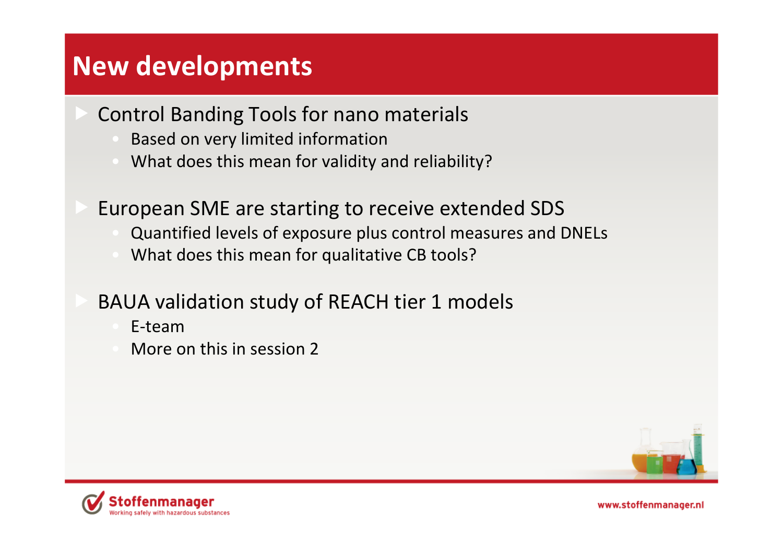#### **New developments**

- Control Banding Tools for nano materials
	- Based on very limited information
	- What does this mean for validity and reliability?
- European SME are starting to receive extended SDS
	- Quantified levels of exposure plus control measures and DNELs
	- What does this mean for qualitative CB tools?
- BAUA validation study of REACH tier 1 models
	- E‐team
	- More on this in session 2



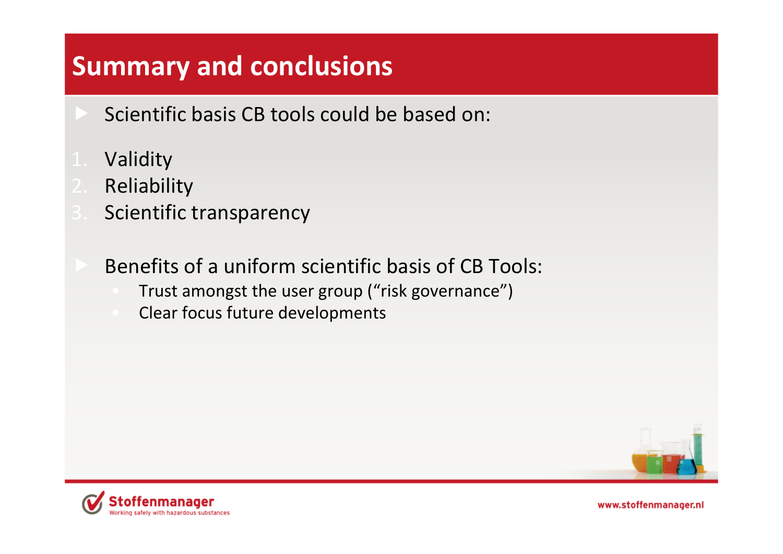#### **Summary and conclusions**

- Scientific basis CB tools could be based on:
- Validity
- Reliability
- **Scientific transparency** 
	- Benefits of <sup>a</sup> uniform scientific basis of CB Tools:
		- Trust amongst the user group ("risk governance")
		- Clear focus future developments



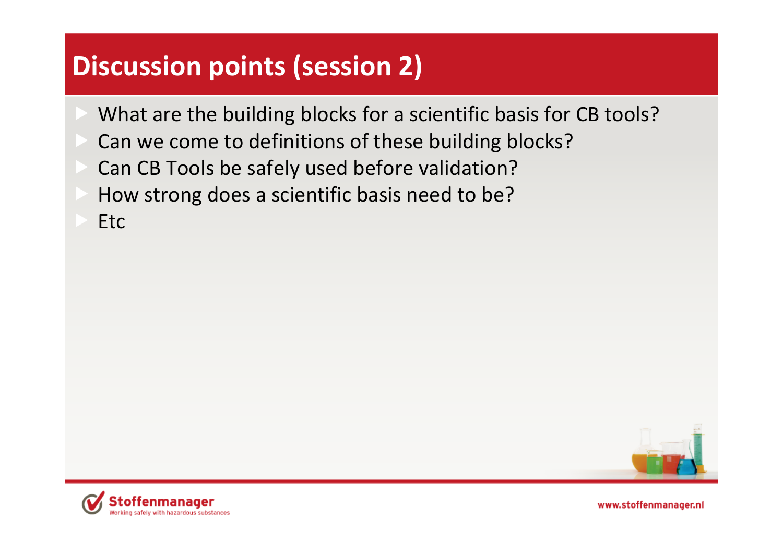# **Discussion points (session 2)**

- What are the building blocks for <sup>a</sup> scientific basis for CB tools?
- Can we come to definitions of these building blocks?
- Can CB Tools be safely used before validation?
- How strong does <sup>a</sup> scientific basis need to be?
- Etc